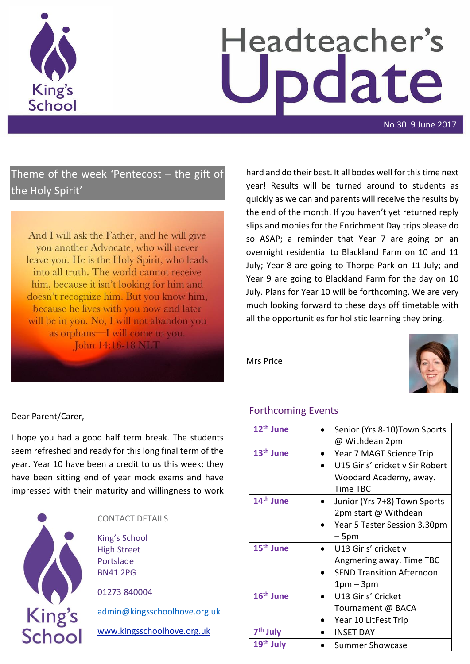

# Headteacher's date

No 30 9 June 2017

## Theme of the week 'Pentecost – the gift of the Holy Spirit'

And I will ask the Father, and he will give you another Advocate, who will never leave you. He is the Holy Spirit, who leads into all truth. The world cannot receive him, because it isn't looking for him and doesn't recognize him. But you know him, because he lives with you now and later will be in you. No, I will not abandon you as orphans—I will come to you. John 14:16-18 NLT

hard and do their best. It all bodes well for this time next year! Results will be turned around to students as quickly as we can and parents will receive the results by the end of the month. If you haven't yet returned reply slips and monies for the Enrichment Day trips please do so ASAP; a reminder that Year 7 are going on an overnight residential to Blackland Farm on 10 and 11 July; Year 8 are going to Thorpe Park on 11 July; and Year 9 are going to Blackland Farm for the day on 10 July. Plans for Year 10 will be forthcoming. We are very much looking forward to these days off timetable with all the opportunities for holistic learning they bring.

Mrs Price



#### Dear Parent/Carer,

I hope you had a good half term break. The students seem refreshed and ready for this long final term of the year. Year 10 have been a credit to us this week; they have been sitting end of year mock exams and have impressed with their maturity and willingness to work



| CONTACT DETAILS                                                     |
|---------------------------------------------------------------------|
| King's School<br><b>High Street</b><br>Portslade<br><b>BN41 2PG</b> |
| 01273 840004                                                        |
| admin@kingsschoolhove.org.uk                                        |
| www.kingsschoolhove.org.uk                                          |
|                                                                     |

#### Forthcoming Events

| 12 <sup>th</sup> June | Senior (Yrs 8-10) Town Sports    |
|-----------------------|----------------------------------|
|                       | @ Withdean 2pm                   |
| 13 <sup>th</sup> June | Year 7 MAGT Science Trip         |
|                       | U15 Girls' cricket v Sir Robert  |
|                       | Woodard Academy, away.           |
|                       | Time TBC                         |
| 14 <sup>th</sup> June | Junior (Yrs 7+8) Town Sports     |
|                       | 2pm start @ Withdean             |
|                       | Year 5 Taster Session 3.30pm     |
|                       | – 5pm                            |
| 15 <sup>th</sup> June | U13 Girls' cricket v             |
|                       | Angmering away. Time TBC         |
|                       | <b>SEND Transition Afternoon</b> |
|                       | 1pm – 3pm                        |
| 16 <sup>th</sup> June | U13 Girls' Cricket               |
|                       | Tournament @ BACA                |
|                       | Year 10 LitFest Trip             |
| 7 <sup>th</sup> July  | <b>INSET DAY</b>                 |
| 19 <sup>th</sup> July | Summer Showcase                  |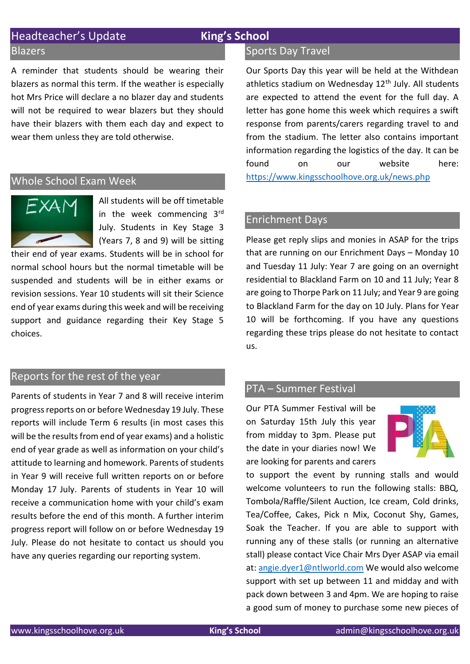## Headteacher's Update **King's School**

#### Blazers

A reminder that students should be wearing their blazers as normal this term. If the weather is especially hot Mrs Price will declare a no blazer day and students will not be required to wear blazers but they should have their blazers with them each day and expect to wear them unless they are told otherwise.

#### Whole School Exam Week



All students will be off timetable in the week commencing 3rd July. Students in Key Stage 3 (Years 7, 8 and 9) will be sitting

their end of year exams. Students will be in school for normal school hours but the normal timetable will be suspended and students will be in either exams or revision sessions. Year 10 students will sit their Science end of year exams during this week and will be receiving support and guidance regarding their Key Stage 5 choices.

### Reports for the rest of the year

Parents of students in Year 7 and 8 will receive interim progress reports on or before Wednesday 19 July. These reports will include Term 6 results (in most cases this will be the results from end of year exams) and a holistic end of year grade as well as information on your child's attitude to learning and homework. Parents of students in Year 9 will receive full written reports on or before Monday 17 July. Parents of students in Year 10 will receive a communication home with your child's exam results before the end of this month. A further interim progress report will follow on or before Wednesday 19 July. Please do not hesitate to contact us should you have any queries regarding our reporting system.

#### Sports Day Travel

Our Sports Day this year will be held at the Withdean athletics stadium on Wednesday 12<sup>th</sup> July. All students are expected to attend the event for the full day. A letter has gone home this week which requires a swift response from parents/carers regarding travel to and from the stadium. The letter also contains important information regarding the logistics of the day. It can be found on our website here: <https://www.kingsschoolhove.org.uk/news.php>

#### Enrichment Days

Please get reply slips and monies in ASAP for the trips that are running on our Enrichment Days – Monday 10 and Tuesday 11 July: Year 7 are going on an overnight residential to Blackland Farm on 10 and 11 July; Year 8 are going to Thorpe Park on 11 July; and Year 9 are going to Blackland Farm for the day on 10 July. Plans for Year 10 will be forthcoming. If you have any questions regarding these trips please do not hesitate to contact us.

#### PTA – Summer Festival

Our PTA Summer Festival will be on Saturday 15th July this year from midday to 3pm. Please put the date in your diaries now! We are looking for parents and carers



to support the event by running stalls and would welcome volunteers to run the following stalls: BBQ, Tombola/Raffle/Silent Auction, Ice cream, Cold drinks, Tea/Coffee, Cakes, Pick n Mix, Coconut Shy, Games, Soak the Teacher. If you are able to support with running any of these stalls (or running an alternative stall) please contact Vice Chair Mrs Dyer ASAP via email at: [angie.dyer1@ntlworld.com](mailto:angie.dyer1@ntlworld.com) We would also welcome support with set up between 11 and midday and with pack down between 3 and 4pm. We are hoping to raise a good sum of money to purchase some new pieces of